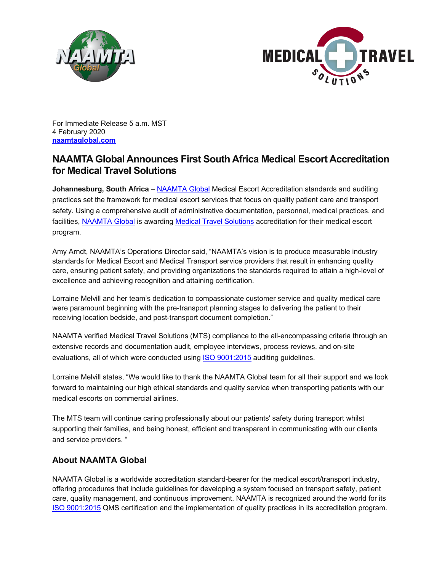



For Immediate Release 5 a.m. MST 4 February 2020 **naamtaglobal.com**

## **NAAMTA Global Announces First South Africa Medical Escort Accreditation for Medical Travel Solutions**

**Johannesburg, South Africa** – NAAMTA Global Medical Escort Accreditation standards and auditing practices set the framework for medical escort services that focus on quality patient care and transport safety. Using a comprehensive audit of administrative documentation, personnel, medical practices, and facilities, NAAMTA Global is awarding Medical Travel Solutions accreditation for their medical escort program.

Amy Arndt, NAAMTA's Operations Director said, "NAAMTA's vision is to produce measurable industry standards for Medical Escort and Medical Transport service providers that result in enhancing quality care, ensuring patient safety, and providing organizations the standards required to attain a high-level of excellence and achieving recognition and attaining certification.

Lorraine Melvill and her team's dedication to compassionate customer service and quality medical care were paramount beginning with the pre-transport planning stages to delivering the patient to their receiving location bedside, and post-transport document completion."

NAAMTA verified Medical Travel Solutions (MTS) compliance to the all-encompassing criteria through an extensive records and documentation audit, employee interviews, process reviews, and on-site evaluations, all of which were conducted using **ISO 9001:2015** auditing guidelines.

Lorraine Melvill states, "We would like to thank the NAAMTA Global team for all their support and we look forward to maintaining our high ethical standards and quality service when transporting patients with our medical escorts on commercial airlines.

The MTS team will continue caring professionally about our patients' safety during transport whilst supporting their families, and being honest, efficient and transparent in communicating with our clients and service providers. "

## **About NAAMTA Global**

NAAMTA Global is a worldwide accreditation standard-bearer for the medical escort/transport industry, offering procedures that include guidelines for developing a system focused on transport safety, patient care, quality management, and continuous improvement. NAAMTA is recognized around the world for its ISO 9001:2015 QMS certification and the implementation of quality practices in its accreditation program.